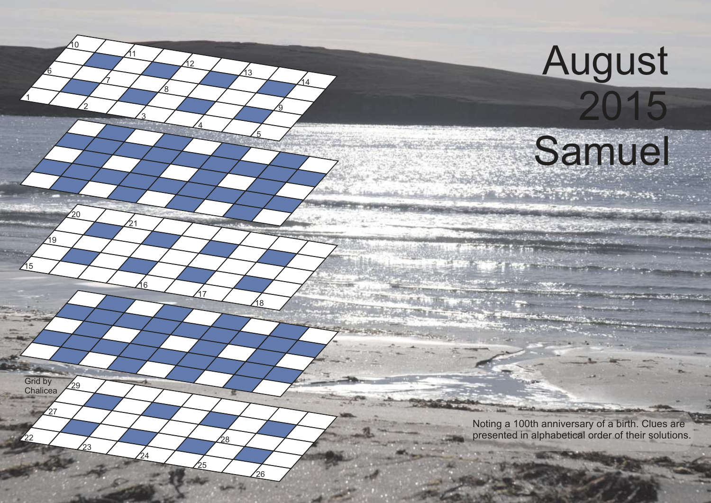## August

Samuel

**AND AND TO ALL** 

 $/15$ 

 $\mathbf{z}_2$ 

Grid by **Chalicea**  <u>ნ</u>

 $\overline{24}$ 

i R

<u>ପ</u>

 $\Delta$ 

Noting a 100th anniversary of a birth. Clues are presented in alphabetical order of their solutions.